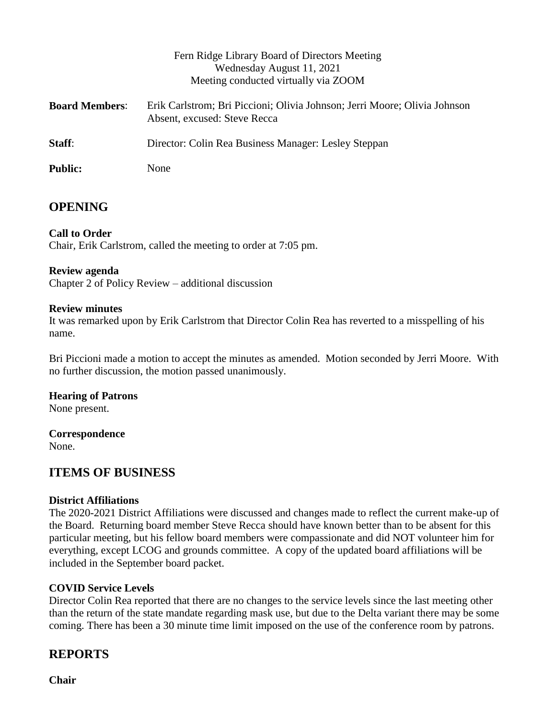|                       | Fern Ridge Library Board of Directors Meeting<br>Wednesday August 11, 2021<br>Meeting conducted virtually via ZOOM |
|-----------------------|--------------------------------------------------------------------------------------------------------------------|
| <b>Board Members:</b> | Erik Carlstrom; Bri Piccioni; Olivia Johnson; Jerri Moore; Olivia Johnson<br>Absent, excused: Steve Recca          |
| Staff:                | Director: Colin Rea Business Manager: Lesley Steppan                                                               |
| <b>Public:</b>        | None                                                                                                               |

# **OPENING**

### **Call to Order**

Chair, Erik Carlstrom, called the meeting to order at 7:05 pm.

#### **Review agenda**

Chapter 2 of Policy Review – additional discussion

#### **Review minutes**

It was remarked upon by Erik Carlstrom that Director Colin Rea has reverted to a misspelling of his name.

Bri Piccioni made a motion to accept the minutes as amended. Motion seconded by Jerri Moore. With no further discussion, the motion passed unanimously.

#### **Hearing of Patrons**

None present.

**Correspondence** None.

# **ITEMS OF BUSINESS**

#### **District Affiliations**

The 2020-2021 District Affiliations were discussed and changes made to reflect the current make-up of the Board. Returning board member Steve Recca should have known better than to be absent for this particular meeting, but his fellow board members were compassionate and did NOT volunteer him for everything, except LCOG and grounds committee. A copy of the updated board affiliations will be included in the September board packet.

#### **COVID Service Levels**

Director Colin Rea reported that there are no changes to the service levels since the last meeting other than the return of the state mandate regarding mask use, but due to the Delta variant there may be some coming. There has been a 30 minute time limit imposed on the use of the conference room by patrons.

# **REPORTS**

**Chair**